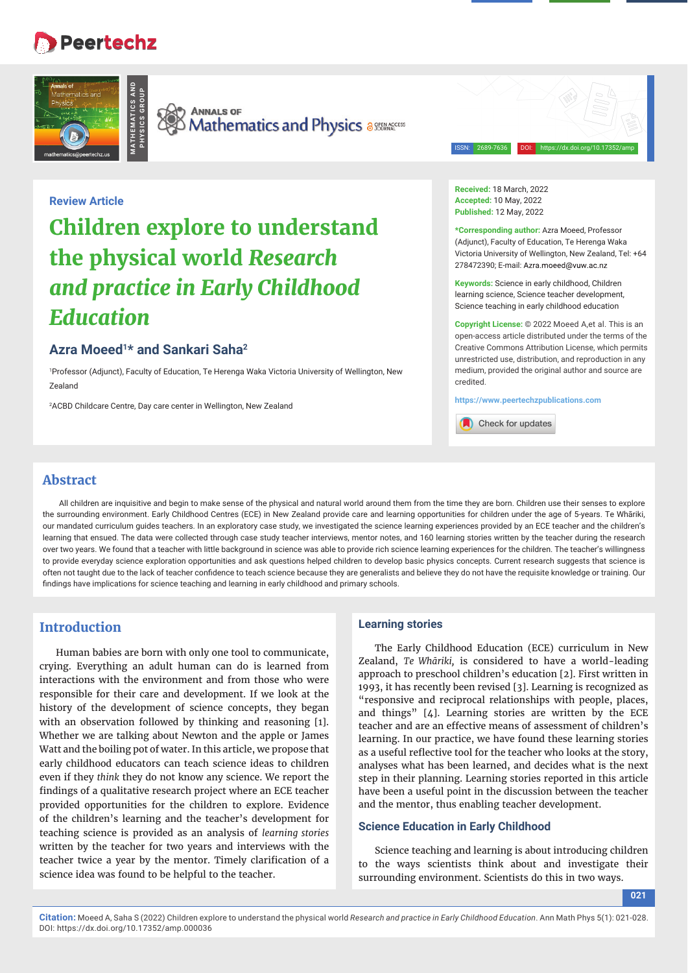# **Peertechz**





**PHYSICS GROUP**

**SEX ANNALS OF AND ANNALS OF Mathematics and Physics assumered** 



## **Review Article**

# **Children explore to understand the physical world** *Research and practice in Early Childhood Education*

# **Azra Moeed1\* and Sankari Saha2**

1 Professor (Adjunct), Faculty of Education, Te Herenga Waka Victoria University of Wellington, New Zealand

2 ACBD Childcare Centre, Day care center in Wellington, New Zealand

**Received:** 18 March, 2022 **Accepted:** 10 May, 2022 **Published:** 12 May, 2022

**\*Corresponding author:** Azra Moeed, Professor (Adjunct), Faculty of Education, Te Herenga Waka Victoria University of Wellington, New Zealand, Tel: +64 278472390; E-mail: Azra.moeed@vuw.ac.nz

**Keywords:** Science in early childhood, Children learning science, Science teacher development, Science teaching in early childhood education

**Copyright License:** © 2022 Moeed A,et al. This is an open-access article distributed under the terms of the Creative Commons Attribution License, which permits unrestricted use, distribution, and reproduction in any medium, provided the original author and source are credited.

**https://www.peertechzpublications.com**

Check for updates

## **Abstract**

All children are inquisitive and begin to make sense of the physical and natural world around them from the time they are born. Children use their senses to explore the surrounding environment. Early Childhood Centres (ECE) in New Zealand provide care and learning opportunities for children under the age of 5-years. Te Whāriki, our mandated curriculum guides teachers. In an exploratory case study, we investigated the science learning experiences provided by an ECE teacher and the children's learning that ensued. The data were collected through case study teacher interviews, mentor notes, and 160 learning stories written by the teacher during the research over two years. We found that a teacher with little background in science was able to provide rich science learning experiences for the children. The teacher's willingness to provide everyday science exploration opportunities and ask questions helped children to develop basic physics concepts. Current research suggests that science is often not taught due to the lack of teacher confidence to teach science because they are generalists and believe they do not have the requisite knowledge or training. Our findings have implications for science teaching and learning in early childhood and primary schools.

# **Introduction**

Human babies are born with only one tool to communicate, crying. Everything an adult human can do is learned from interactions with the environment and from those who were responsible for their care and development. If we look at the history of the development of science concepts, they began with an observation followed by thinking and reasoning [1]. Whether we are talking about Newton and the apple or James Watt and the boiling pot of water. In this article, we propose that early childhood educators can teach science ideas to children even if they *think* they do not know any science. We report the findings of a qualitative research project where an ECE teacher provided opportunities for the children to explore. Evidence of the children's learning and the teacher's development for teaching science is provided as an analysis of *learning stories*  written by the teacher for two years and interviews with the teacher twice a year by the mentor. Timely clarification of a science idea was found to be helpful to the teacher.

DOI: https://dx.doi.org/10.17352/amp.000036

## **Learning stories**

The Early Childhood Education (ECE) curriculum in New Zealand, *Te Whāriki,* is considered to have a world-leading approach to preschool children's education [2]. First written in 1993, it has recently been revised [3]. Learning is recognized as "responsive and reciprocal relationships with people, places, and things" [4]. Learning stories are written by the ECE teacher and are an effective means of assessment of children's learning. In our practice, we have found these learning stories as a useful reflective tool for the teacher who looks at the story, analyses what has been learned, and decides what is the next step in their planning. Learning stories reported in this article have been a useful point in the discussion between the teacher and the mentor, thus enabling teacher development.

## **Science Education in Early Childhood**

Science teaching and learning is about introducing children to the ways scientists think about and investigate their surrounding environment. Scientists do this in two ways.

**Citation:** Moeed A, Saha S (2022) Children explore to understand the physical world *Research and practice in Early Childhood Education*. Ann Math Phys 5(1): 021-028.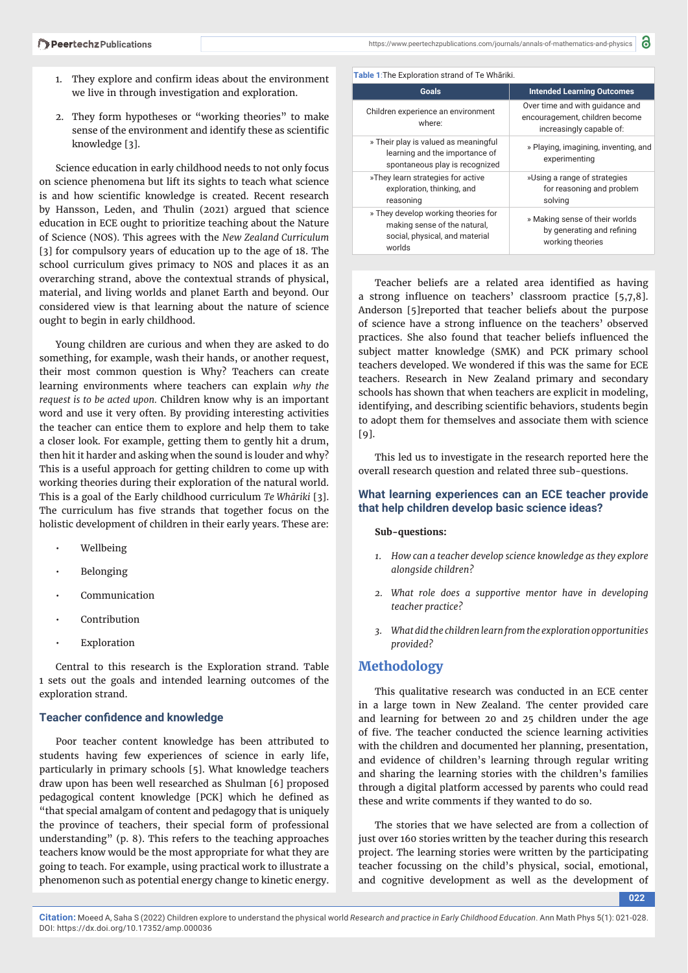- 1. They explore and confirm ideas about the environment we live in through investigation and exploration.
- 2. They form hypotheses or "working theories" to make sense of the environment and identify these as scientific knowledge [3].

Science education in early childhood needs to not only focus on science phenomena but lift its sights to teach what science is and how scientific knowledge is created. Recent research by Hansson, Leden, and Thulin (2021) argued that science education in ECE ought to prioritize teaching about the Nature of Science (NOS). This agrees with the *New Zealand Curriculum* [3] for compulsory years of education up to the age of 18. The school curriculum gives primacy to NOS and places it as an overarching strand, above the contextual strands of physical, material, and living worlds and planet Earth and beyond. Our considered view is that learning about the nature of science ought to begin in early childhood.

Young children are curious and when they are asked to do something, for example, wash their hands, or another request, their most common question is Why? Teachers can create learning environments where teachers can explain *why the request is to be acted upon.* Children know why is an important word and use it very often. By providing interesting activities the teacher can entice them to explore and help them to take a closer look. For example, getting them to gently hit a drum, then hit it harder and asking when the sound is louder and why? This is a useful approach for getting children to come up with working theories during their exploration of the natural world. This is a goal of the Early childhood curriculum *Te Whāriki* [3]. The curriculum has five strands that together focus on the holistic development of children in their early years. These are:

- Wellbeing
- **Belonging**
- Communication
- **Contribution**
- **Exploration**

Central to this research is the Exploration strand. Table 1 sets out the goals and intended learning outcomes of the exploration strand.

## **Teacher confidence and knowledge**

Poor teacher content knowledge has been attributed to students having few experiences of science in early life, particularly in primary schools [5]. What knowledge teachers draw upon has been well researched as Shulman [6] proposed pedagogical content knowledge [PCK] which he defined as "that special amalgam of content and pedagogy that is uniquely the province of teachers, their special form of professional understanding" (p. 8). This refers to the teaching approaches teachers know would be the most appropriate for what they are going to teach. For example, using practical work to illustrate a phenomenon such as potential energy change to kinetic energy.

| Table 1: The Exploration strand of Te Whāriki.                                                                  |                                                                                               |
|-----------------------------------------------------------------------------------------------------------------|-----------------------------------------------------------------------------------------------|
| Goals                                                                                                           | <b>Intended Learning Outcomes</b>                                                             |
| Children experience an environment<br>where:                                                                    | Over time and with quidance and<br>encouragement, children become<br>increasingly capable of: |
| » Their play is valued as meaningful<br>learning and the importance of<br>spontaneous play is recognized        | » Playing, imagining, inventing, and<br>experimenting                                         |
| »They learn strategies for active<br>exploration, thinking, and<br>reasoning                                    | »Using a range of strategies<br>for reasoning and problem<br>solving                          |
| » They develop working theories for<br>making sense of the natural.<br>social, physical, and material<br>worlds | » Making sense of their worlds<br>by generating and refining<br>working theories              |

Teacher beliefs are a related area identified as having a strong influence on teachers' classroom practice  $[5,7,8]$ . Anderson [5]reported that teacher beliefs about the purpose of science have a strong influence on the teachers' observed practices. She also found that teacher beliefs influenced the subject matter knowledge (SMK) and PCK primary school teachers developed. We wondered if this was the same for ECE teachers. Research in New Zealand primary and secondary schools has shown that when teachers are explicit in modeling, identifying, and describing scientific behaviors, students begin to adopt them for themselves and associate them with science  $[9]$ .

This led us to investigate in the research reported here the overall research question and related three sub-questions.

## **What learning experiences can an ECE teacher provide that help children develop basic science ideas?**

#### **Sub-questions:**

- *1. How can a teacher develop science knowledge as they explore alongside children?*
- *2. What role does a supportive mentor have in developing teacher practice?*
- *3. What did the children learn from the exploration opportunities provided?*

## **Methodology**

This qualitative research was conducted in an ECE center in a large town in New Zealand. The center provided care and learning for between 20 and 25 children under the age of five. The teacher conducted the science learning activities with the children and documented her planning, presentation, and evidence of children's learning through regular writing and sharing the learning stories with the children's families through a digital platform accessed by parents who could read these and write comments if they wanted to do so.

The stories that we have selected are from a collection of just over 160 stories written by the teacher during this research project. The learning stories were written by the participating teacher focussing on the child's physical, social, emotional, and cognitive development as well as the development of

**022**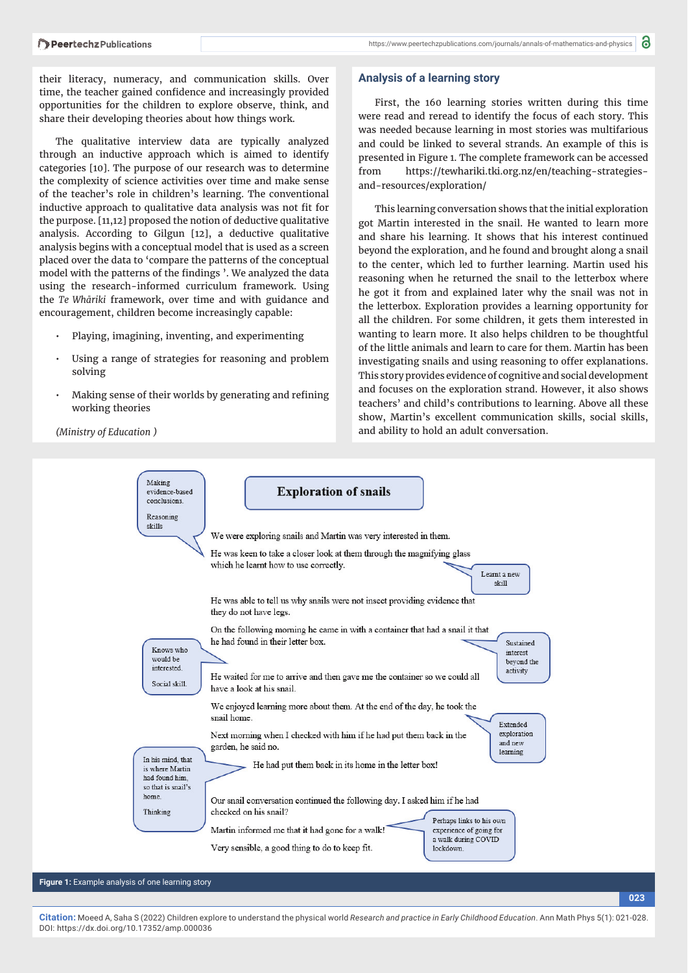their literacy, numeracy, and communication skills. Over time, the teacher gained confidence and increasingly provided opportunities for the children to explore observe, think, and share their developing theories about how things work.

The qualitative interview data are typically analyzed through an inductive approach which is aimed to identify categories [10]. The purpose of our research was to determine the complexity of science activities over time and make sense of the teacher's role in children's learning. The conventional inductive approach to qualitative data analysis was not fit for the purpose. [11,12] proposed the notion of deductive qualitative analysis. According to Gilgun [12], a deductive qualitative analysis begins with a conceptual model that is used as a screen placed over the data to 'compare the patterns of the conceptual model with the patterns of the findings '. We analyzed the data using the research-informed curriculum framework. Using the *Te Whāriki* framework, over time and with guidance and encouragement, children become increasingly capable:

- Playing, imagining, inventing, and experimenting
- Using a range of strategies for reasoning and problem solving
- Making sense of their worlds by generating and refining working theories

*(Ministry of Education )* 

#### **Analysis of a learning story**

First, the 160 learning stories written during this time were read and reread to identify the focus of each story. This was needed because learning in most stories was multifarious and could be linked to several strands. An example of this is presented in Figure 1. The complete framework can be accessed from https://tewhariki.tki.org.nz/en/teaching-strategiesand-resources/exploration/

This learning conversation shows that the initial exploration got Martin interested in the snail. He wanted to learn more and share his learning. It shows that his interest continued beyond the exploration, and he found and brought along a snail to the center, which led to further learning. Martin used his reasoning when he returned the snail to the letterbox where he got it from and explained later why the snail was not in the letterbox. Exploration provides a learning opportunity for all the children. For some children, it gets them interested in wanting to learn more. It also helps children to be thoughtful of the little animals and learn to care for them. Martin has been investigating snails and using reasoning to offer explanations. This story provides evidence of cognitive and social development and focuses on the exploration strand. However, it also shows teachers' and child's contributions to learning. Above all these show, Martin's excellent communication skills, social skills, and ability to hold an adult conversation.

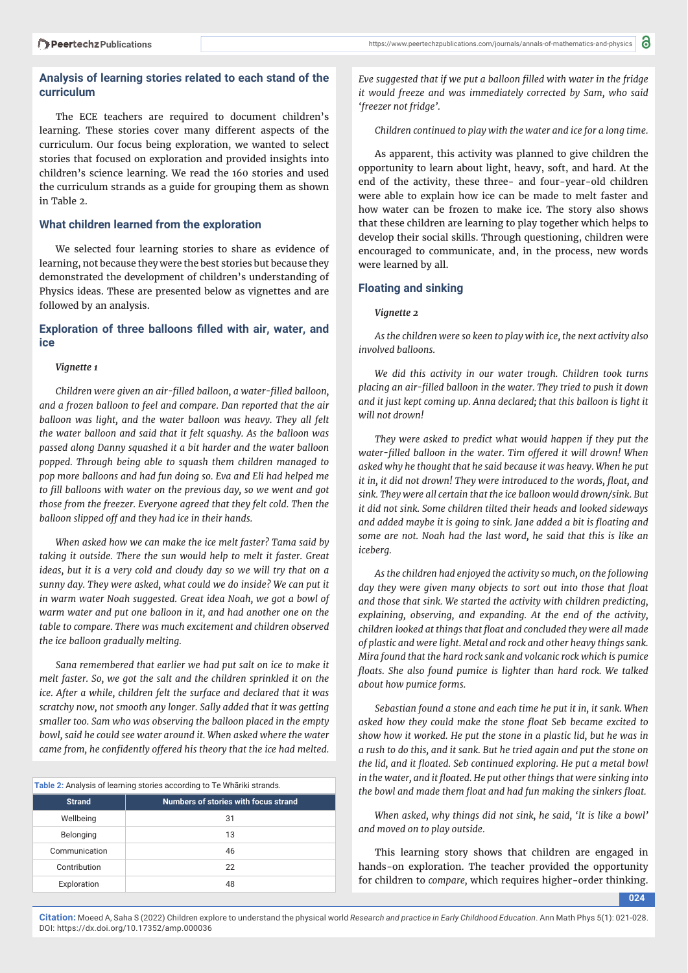## **Analysis of learning stories related to each stand of the curriculum**

The ECE teachers are required to document children's learning. These stories cover many different aspects of the curriculum. Our focus being exploration, we wanted to select stories that focused on exploration and provided insights into children's science learning. We read the 160 stories and used the curriculum strands as a guide for grouping them as shown in Table 2.

## **What children learned from the exploration**

We selected four learning stories to share as evidence of learning, not because they were the best stories but because they demonstrated the development of children's understanding of Physics ideas. These are presented below as vignettes and are followed by an analysis.

## Exploration of three balloons filled with air, water, and **ice**

#### *Vignette 1*

*Children were given an air-fi lled balloon, a water-fi lled balloon, and a frozen balloon to feel and compare. Dan reported that the air balloon was light, and the water balloon was heavy. They all felt the water balloon and said that it felt squashy. As the balloon was passed along Danny squashed it a bit harder and the water balloon popped. Through being able to squash them children managed to pop more balloons and had fun doing so. Eva and Eli had helped me*  to fill balloons with water on the previous day, so we went and got *those from the freezer. Everyone agreed that they felt cold. Then the balloon slipped off and they had ice in their hands.*

*When asked how we can make the ice melt faster? Tama said by taking it outside. There the sun would help to melt it faster. Great ideas, but it is a very cold and cloudy day so we will try that on a sunny day. They were asked, what could we do inside? We can put it in warm water Noah suggested. Great idea Noah, we got a bowl of warm water and put one balloon in it, and had another one on the table to compare. There was much excitement and children observed the ice balloon gradually melting.*

*Sana remembered that earlier we had put salt on ice to make it melt faster. So, we got the salt and the children sprinkled it on the ice. After a while, children felt the surface and declared that it was scratchy now, not smooth any longer. Sally added that it was getting smaller too. Sam who was observing the balloon placed in the empty bowl, said he could see water around it. When asked where the water came from, he confidently offered his theory that the ice had melted.* 

| Table 2: Analysis of learning stories according to Te Whariki strands. |                                      |
|------------------------------------------------------------------------|--------------------------------------|
| <b>Strand</b>                                                          | Numbers of stories with focus strand |
| Wellbeing                                                              | 31                                   |
| Belonging                                                              | 13                                   |
| Communication                                                          | 46                                   |
| Contribution                                                           | 22                                   |
| Exploration                                                            | 48                                   |

*Eve suggested that if we put a balloon fi lled with water in the fridge it would freeze and was immediately corrected by Sam, who said 'freezer not fridge'.*

*Children continued to play with the water and ice for a long time.*

As apparent, this activity was planned to give children the opportunity to learn about light, heavy, soft, and hard. At the end of the activity, these three- and four-year-old children were able to explain how ice can be made to melt faster and how water can be frozen to make ice. The story also shows that these children are learning to play together which helps to develop their social skills. Through questioning, children were encouraged to communicate, and, in the process, new words were learned by all.

#### **Floating and sinking**

*Vignette 2*

*As the children were so keen to play with ice, the next activity also involved balloons.*

*We did this activity in our water trough. Children took turns placing an air-fi lled balloon in the water. They tried to push it down and it just kept coming up. Anna declared; that this balloon is light it will not drown!*

*They were asked to predict what would happen if they put the water-filled balloon in the water. Tim offered it will drown! When asked why he thought that he said because it was heavy. When he put it in, it did not drown! They were introduced to the words, float, and sink. They were all certain that the ice balloon would drown/sink. But it did not sink. Some children tilted their heads and looked sideways*  and added maybe it is going to sink. Jane added a bit is floating and *some are not. Noah had the last word, he said that this is like an iceberg.* 

*As the children had enjoyed the activity so much, on the following*  day they were given many objects to sort out into those that float *and those that sink. We started the activity with children predicting, explaining, observing, and expanding. At the end of the activity, children looked at things that fl oat and concluded they were all made of plastic and were light. Metal and rock and other heavy things sank. Mira found that the hard rock sank and volcanic rock which is pumice*  floats. She also found pumice is lighter than hard rock. We talked *about how pumice forms.*

*Sebastian found a stone and each time he put it in, it sank. When*  asked how they could make the stone float Seb became excited to *show how it worked. He put the stone in a plastic lid, but he was in a rush to do this, and it sank. But he tried again and put the stone on*  the lid, and it floated. Seb continued exploring. He put a metal bowl in the water, and it floated. He put other things that were sinking into *the bowl and made them float and had fun making the sinkers float.* 

*When asked, why things did not sink, he said, 'It is like a bowl' and moved on to play outside.*

This learning story shows that children are engaged in hands-on exploration. The teacher provided the opportunity for children to *compare,* which requires higher-order thinking.

**024**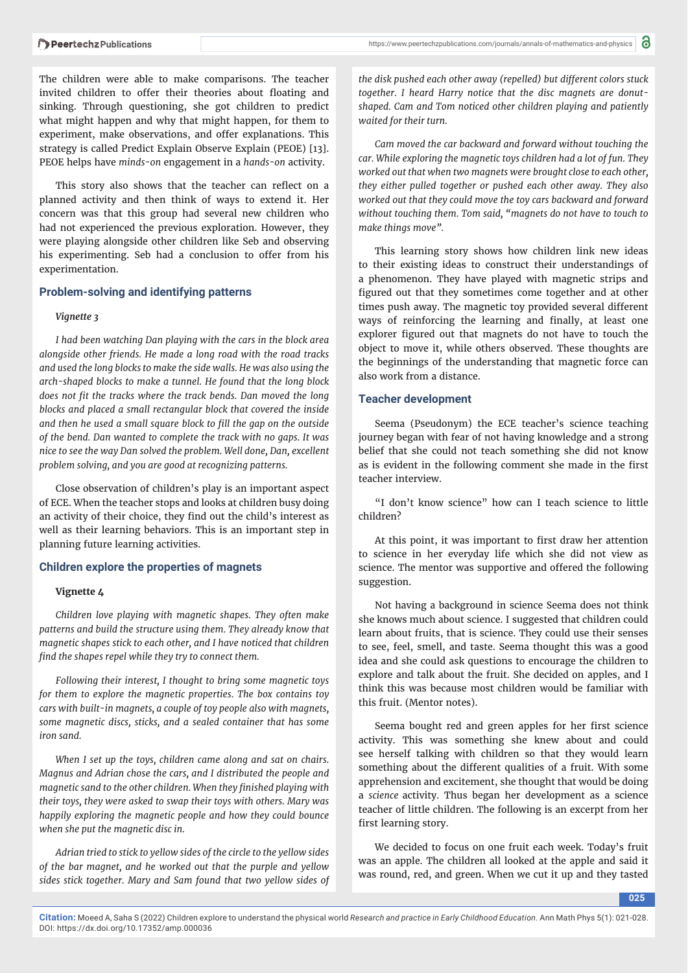https://www.peertechzpublications.com/journals/annals-of-mathematics-and-physics

The children were able to make comparisons. The teacher invited children to offer their theories about floating and sinking. Through questioning, she got children to predict what might happen and why that might happen, for them to experiment, make observations, and offer explanations. This strategy is called Predict Explain Observe Explain (PEOE) [13]. PEOE helps have *minds-on* engagement in a *hands-on* activity.

This story also shows that the teacher can reflect on a planned activity and then think of ways to extend it. Her concern was that this group had several new children who had not experienced the previous exploration. However, they were playing alongside other children like Seb and observing his experimenting. Seb had a conclusion to offer from his experimentation.

#### **Problem-solving and identifying patterns**

#### *Vignette 3*

*I had been watching Dan playing with the cars in the block area alongside other friends. He made a long road with the road tracks and used the long blocks to make the side walls. He was also using the arch-shaped blocks to make a tunnel. He found that the long block*  does not fit the tracks where the track bends. Dan moved the long *blocks and placed a small rectangular block that covered the inside*  and then he used a small square block to fill the gap on the outside *of the bend. Dan wanted to complete the track with no gaps. It was nice to see the way Dan solved the problem. Well done, Dan, excellent problem solving, and you are good at recognizing patterns.*

Close observation of children's play is an important aspect of ECE. When the teacher stops and looks at children busy doing an activity of their choice, they find out the child's interest as well as their learning behaviors. This is an important step in planning future learning activities.

#### **Children explore the properties of magnets**

## **Vignette 4**

*Children love playing with magnetic shapes. They often make patterns and build the structure using them. They already know that magnetic shapes stick to each other, and I have noticed that children*  find the shapes repel while they try to connect them.

*Following their interest, I thought to bring some magnetic toys for them to explore the magnetic properties. The box contains toy cars with built-in magnets, a couple of toy people also with magnets, some magnetic discs, sticks, and a sealed container that has some iron sand.*

*When I set up the toys, children came along and sat on chairs. Magnus and Adrian chose the cars, and I distributed the people and magnetic sand to the other children. When they fi nished playing with their toys, they were asked to swap their toys with others. Mary was happily exploring the magnetic people and how they could bounce when she put the magnetic disc in.*

*Adrian tried to stick to yellow sides of the circle to the yellow sides of the bar magnet, and he worked out that the purple and yellow sides stick together. Mary and Sam found that two yellow sides of*  *the disk pushed each other away (repelled) but diff erent colors stuck together. I heard Harry notice that the disc magnets are donutshaped. Cam and Tom noticed other children playing and patiently waited for their turn.* 

*Cam moved the car backward and forward without touching the car. While exploring the magnetic toys children had a lot of fun. They worked out that when two magnets were brought close to each other, they either pulled together or pushed each other away. They also worked out that they could move the toy cars backward and forward without touching them. Tom said, "magnets do not have to touch to make things move".*

This learning story shows how children link new ideas to their existing ideas to construct their understandings of a phenomenon. They have played with magnetic strips and figured out that they sometimes come together and at other times push away. The magnetic toy provided several different ways of reinforcing the learning and finally, at least one explorer figured out that magnets do not have to touch the object to move it, while others observed. These thoughts are the beginnings of the understanding that magnetic force can also work from a distance.

#### **Teacher development**

Seema (Pseudonym) the ECE teacher's science teaching journey began with fear of not having knowledge and a strong belief that she could not teach something she did not know as is evident in the following comment she made in the first teacher interview.

"I don't know science" how can I teach science to little children?

At this point, it was important to first draw her attention to science in her everyday life which she did not view as science. The mentor was supportive and offered the following suggestion.

Not having a background in science Seema does not think she knows much about science. I suggested that children could learn about fruits, that is science. They could use their senses to see, feel, smell, and taste. Seema thought this was a good idea and she could ask questions to encourage the children to explore and talk about the fruit. She decided on apples, and I think this was because most children would be familiar with this fruit. (Mentor notes).

Seema bought red and green apples for her first science activity. This was something she knew about and could see herself talking with children so that they would learn something about the different qualities of a fruit. With some apprehension and excitement, she thought that would be doing a *science* activity. Thus began her development as a science teacher of little children. The following is an excerpt from her first learning story.

We decided to focus on one fruit each week. Today's fruit was an apple. The children all looked at the apple and said it was round, red, and green. When we cut it up and they tasted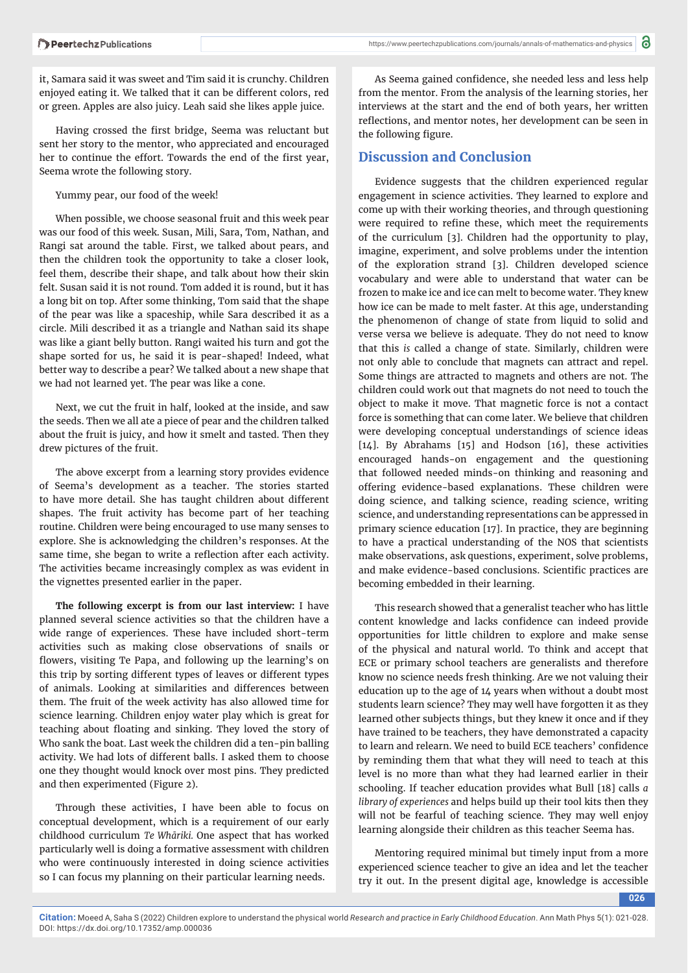it, Samara said it was sweet and Tim said it is crunchy. Children enjoyed eating it. We talked that it can be different colors, red or green. Apples are also juicy. Leah said she likes apple juice.

Having crossed the first bridge, Seema was reluctant but sent her story to the mentor, who appreciated and encouraged her to continue the effort. Towards the end of the first year, Seema wrote the following story.

Yummy pear, our food of the week!

When possible, we choose seasonal fruit and this week pear was our food of this week. Susan, Mili, Sara, Tom, Nathan, and Rangi sat around the table. First, we talked about pears, and then the children took the opportunity to take a closer look, feel them, describe their shape, and talk about how their skin felt. Susan said it is not round. Tom added it is round, but it has a long bit on top. After some thinking, Tom said that the shape of the pear was like a spaceship, while Sara described it as a circle. Mili described it as a triangle and Nathan said its shape was like a giant belly button. Rangi waited his turn and got the shape sorted for us, he said it is pear-shaped! Indeed, what better way to describe a pear? We talked about a new shape that we had not learned yet. The pear was like a cone.

Next, we cut the fruit in half, looked at the inside, and saw the seeds. Then we all ate a piece of pear and the children talked about the fruit is juicy, and how it smelt and tasted. Then they drew pictures of the fruit.

The above excerpt from a learning story provides evidence of Seema's development as a teacher. The stories started to have more detail. She has taught children about different shapes. The fruit activity has become part of her teaching routine. Children were being encouraged to use many senses to explore. She is acknowledging the children's responses. At the same time, she began to write a reflection after each activity. The activities became increasingly complex as was evident in the vignettes presented earlier in the paper.

**The following excerpt is from our last interview:** I have planned several science activities so that the children have a wide range of experiences. These have included short-term activities such as making close observations of snails or flowers, visiting Te Papa, and following up the learning's on this trip by sorting different types of leaves or different types of animals. Looking at similarities and differences between them. The fruit of the week activity has also allowed time for science learning. Children enjoy water play which is great for teaching about floating and sinking. They loved the story of Who sank the boat. Last week the children did a ten-pin balling activity. We had lots of different balls. I asked them to choose one they thought would knock over most pins. They predicted and then experimented (Figure 2).

Through these activities, I have been able to focus on conceptual development, which is a requirement of our early childhood curriculum *Te Whāriki.* One aspect that has worked particularly well is doing a formative assessment with children who were continuously interested in doing science activities so I can focus my planning on their particular learning needs.

As Seema gained confidence, she needed less and less help from the mentor. From the analysis of the learning stories, her interviews at the start and the end of both years, her written reflections, and mentor notes, her development can be seen in the following figure.

## **Discussion and Conclusion**

Evidence suggests that the children experienced regular engagement in science activities. They learned to explore and come up with their working theories, and through questioning were required to refine these, which meet the requirements of the curriculum [3]. Children had the opportunity to play, imagine, experiment, and solve problems under the intention of the exploration strand [3]. Children developed science vocabulary and were able to understand that water can be frozen to make ice and ice can melt to become water. They knew how ice can be made to melt faster. At this age, understanding the phenomenon of change of state from liquid to solid and verse versa we believe is adequate. They do not need to know that this *is* called a change of state. Similarly, children were not only able to conclude that magnets can attract and repel. Some things are attracted to magnets and others are not. The children could work out that magnets do not need to touch the object to make it move. That magnetic force is not a contact force is something that can come later. We believe that children were developing conceptual understandings of science ideas [14]. By Abrahams [15] and Hodson [16], these activities encouraged hands-on engagement and the questioning that followed needed minds-on thinking and reasoning and offering evidence-based explanations. These children were doing science, and talking science, reading science, writing science, and understanding representations can be appressed in primary science education [17]. In practice, they are beginning to have a practical understanding of the NOS that scientists make observations, ask questions, experiment, solve problems, and make evidence-based conclusions. Scientific practices are becoming embedded in their learning.

This research showed that a generalist teacher who has little content knowledge and lacks confidence can indeed provide opportunities for little children to explore and make sense of the physical and natural world. To think and accept that ECE or primary school teachers are generalists and therefore know no science needs fresh thinking. Are we not valuing their education up to the age of 14 years when without a doubt most students learn science? They may well have forgotten it as they learned other subjects things, but they knew it once and if they have trained to be teachers, they have demonstrated a capacity to learn and relearn. We need to build ECE teachers' confidence by reminding them that what they will need to teach at this level is no more than what they had learned earlier in their schooling. If teacher education provides what Bull [18] calls *a library of experiences* and helps build up their tool kits then they will not be fearful of teaching science. They may well enjoy learning alongside their children as this teacher Seema has.

Mentoring required minimal but timely input from a more experienced science teacher to give an idea and let the teacher try it out. In the present digital age, knowledge is accessible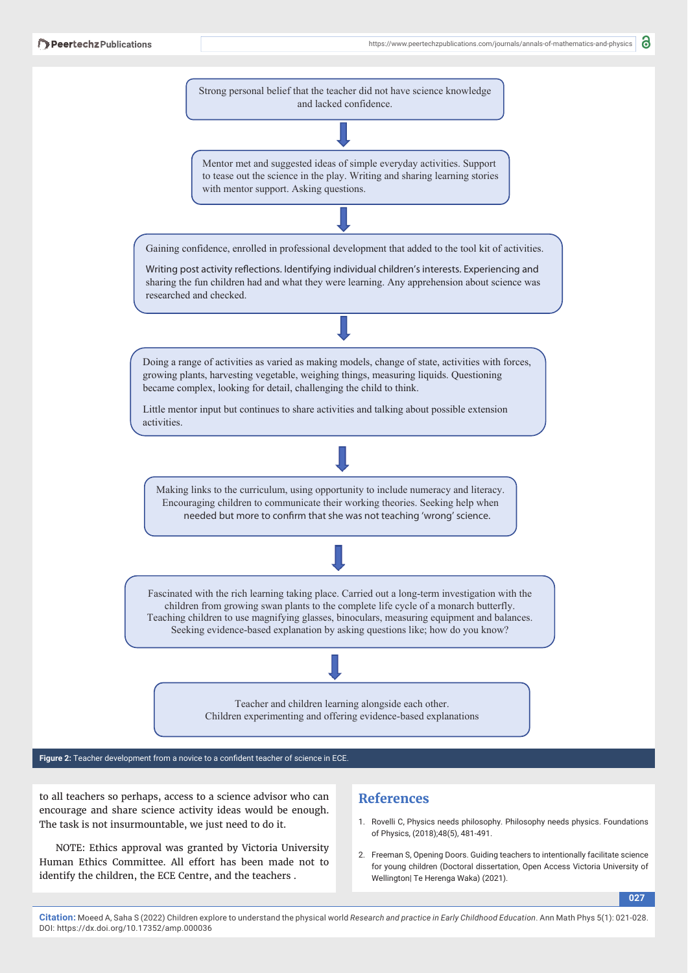6



Figure 2: Teacher development from a novice to a confident teacher of science in ECE.

to all teachers so perhaps, access to a science advisor who can encourage and share science activity ideas would be enough. The task is not insurmountable, we just need to do it.

NOTE: Ethics approval was granted by Victoria University Human Ethics Committee. All effort has been made not to identify the children, the ECE Centre, and the teachers .

# **References**

- 1. Rovelli C, Physics needs philosophy. Philosophy needs physics. Foundations of Physics, (2018);48(5), 481-491.
- 2. Freeman S, Opening Doors. Guiding teachers to intentionally facilitate science for young children (Doctoral dissertation, Open Access Victoria University of Wellington| Te Herenga Waka) (2021).

**027**